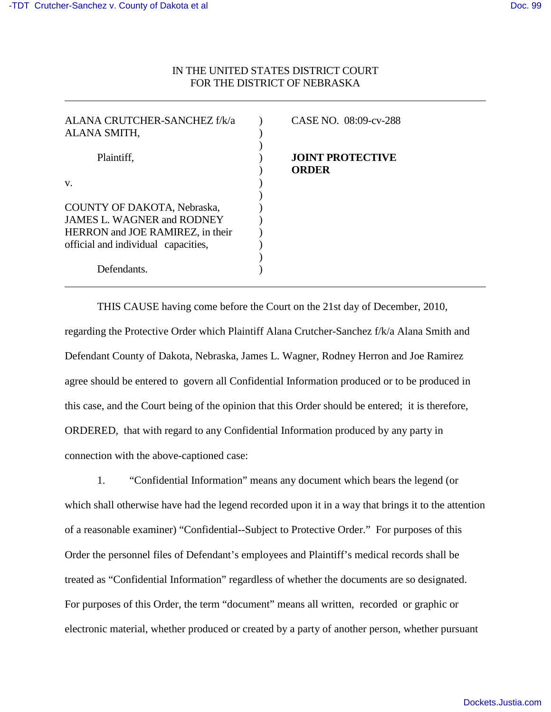$\overline{a}$ 

 $\overline{a}$ 

# IN THE UNITED STATES DISTRICT COURT FOR THE DISTRICT OF NEBRASKA

| ALANA CRUTCHER-SANCHEZ f/k/a<br>ALANA SMITH, | CASE NO. 08:09-cv-288            |
|----------------------------------------------|----------------------------------|
| Plaintiff,                                   | <b>JOINT PROTECTIVE</b><br>ORDER |
| V.                                           |                                  |
|                                              |                                  |
| COUNTY OF DAKOTA, Nebraska,                  |                                  |
| <b>JAMES L. WAGNER and RODNEY</b>            |                                  |
| HERRON and JOE RAMIREZ, in their             |                                  |
| official and individual capacities,          |                                  |
|                                              |                                  |
| Defendants.                                  |                                  |

THIS CAUSE having come before the Court on the 21st day of December, 2010, regarding the Protective Order which Plaintiff Alana Crutcher-Sanchez f/k/a Alana Smith and Defendant County of Dakota, Nebraska, James L. Wagner, Rodney Herron and Joe Ramirez agree should be entered to govern all Confidential Information produced or to be produced in this case, and the Court being of the opinion that this Order should be entered; it is therefore, ORDERED, that with regard to any Confidential Information produced by any party in connection with the above-captioned case:

1. "Confidential Information" means any document which bears the legend (or which shall otherwise have had the legend recorded upon it in a way that brings it to the attention of a reasonable examiner) "Confidential--Subject to Protective Order." For purposes of this Order the personnel files of Defendant's employees and Plaintiff's medical records shall be treated as "Confidential Information" regardless of whether the documents are so designated. For purposes of this Order, the term "document" means all written, recorded or graphic or electronic material, whether produced or created by a party of another person, whether pursuant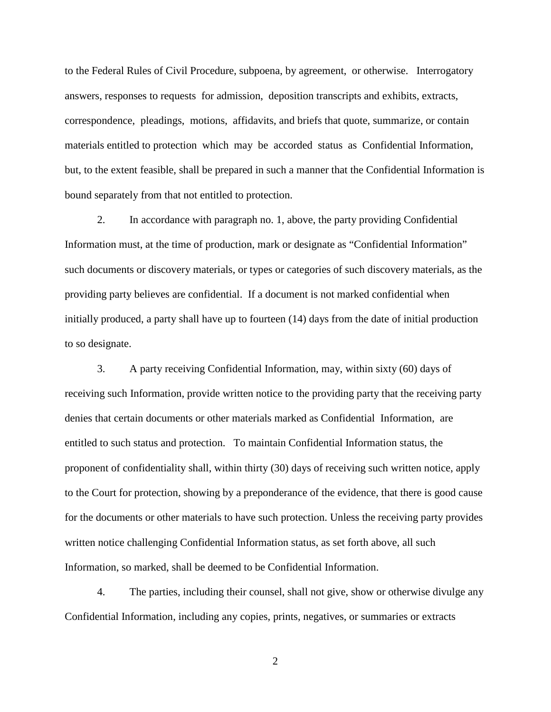to the Federal Rules of Civil Procedure, subpoena, by agreement, or otherwise. Interrogatory answers, responses to requests for admission, deposition transcripts and exhibits, extracts, correspondence, pleadings, motions, affidavits, and briefs that quote, summarize, or contain materials entitled to protection which may be accorded status as Confidential Information, but, to the extent feasible, shall be prepared in such a manner that the Confidential Information is bound separately from that not entitled to protection.

 2. In accordance with paragraph no. 1, above, the party providing Confidential Information must, at the time of production, mark or designate as "Confidential Information" such documents or discovery materials, or types or categories of such discovery materials, as the providing party believes are confidential. If a document is not marked confidential when initially produced, a party shall have up to fourteen (14) days from the date of initial production to so designate.

 3. A party receiving Confidential Information, may, within sixty (60) days of receiving such Information, provide written notice to the providing party that the receiving party denies that certain documents or other materials marked as Confidential Information, are entitled to such status and protection. To maintain Confidential Information status, the proponent of confidentiality shall, within thirty (30) days of receiving such written notice, apply to the Court for protection, showing by a preponderance of the evidence, that there is good cause for the documents or other materials to have such protection. Unless the receiving party provides written notice challenging Confidential Information status, as set forth above, all such Information, so marked, shall be deemed to be Confidential Information.

 4. The parties, including their counsel, shall not give, show or otherwise divulge any Confidential Information, including any copies, prints, negatives, or summaries or extracts

2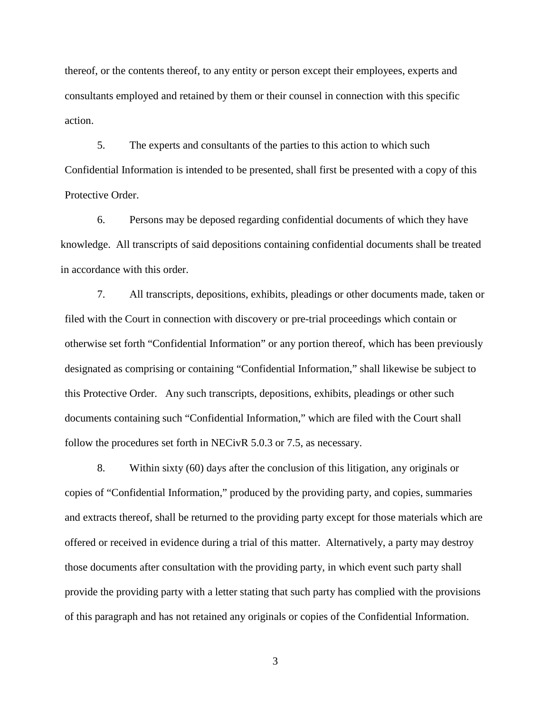thereof, or the contents thereof, to any entity or person except their employees, experts and consultants employed and retained by them or their counsel in connection with this specific action.

5. The experts and consultants of the parties to this action to which such Confidential Information is intended to be presented, shall first be presented with a copy of this Protective Order.

 6. Persons may be deposed regarding confidential documents of which they have knowledge. All transcripts of said depositions containing confidential documents shall be treated in accordance with this order.

 7. All transcripts, depositions, exhibits, pleadings or other documents made, taken or filed with the Court in connection with discovery or pre-trial proceedings which contain or otherwise set forth "Confidential Information" or any portion thereof, which has been previously designated as comprising or containing "Confidential Information," shall likewise be subject to this Protective Order. Any such transcripts, depositions, exhibits, pleadings or other such documents containing such "Confidential Information," which are filed with the Court shall follow the procedures set forth in NECivR 5.0.3 or 7.5, as necessary.

8. Within sixty (60) days after the conclusion of this litigation, any originals or copies of "Confidential Information," produced by the providing party, and copies, summaries and extracts thereof, shall be returned to the providing party except for those materials which are offered or received in evidence during a trial of this matter. Alternatively, a party may destroy those documents after consultation with the providing party, in which event such party shall provide the providing party with a letter stating that such party has complied with the provisions of this paragraph and has not retained any originals or copies of the Confidential Information.

3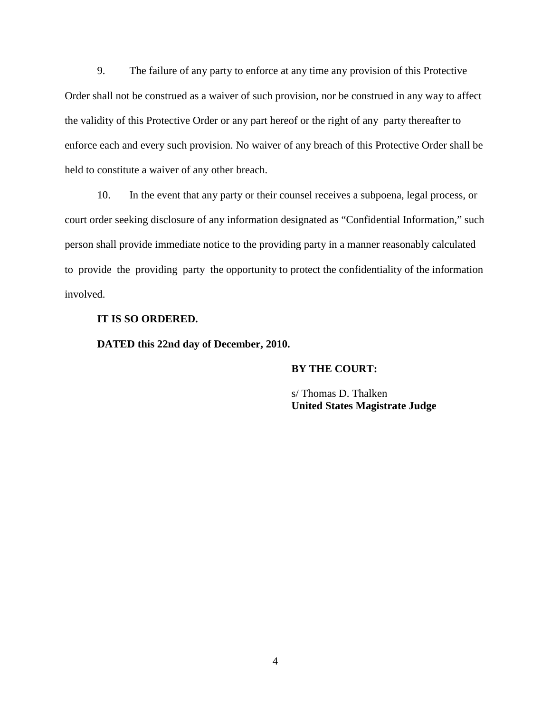9. The failure of any party to enforce at any time any provision of this Protective Order shall not be construed as a waiver of such provision, nor be construed in any way to affect the validity of this Protective Order or any part hereof or the right of any party thereafter to enforce each and every such provision. No waiver of any breach of this Protective Order shall be held to constitute a waiver of any other breach.

 10. In the event that any party or their counsel receives a subpoena, legal process, or court order seeking disclosure of any information designated as "Confidential Information," such person shall provide immediate notice to the providing party in a manner reasonably calculated to provide the providing party the opportunity to protect the confidentiality of the information involved.

## **IT IS SO ORDERED.**

**DATED this 22nd day of December, 2010.** 

#### **BY THE COURT:**

 s/ Thomas D. Thalken **United States Magistrate Judge**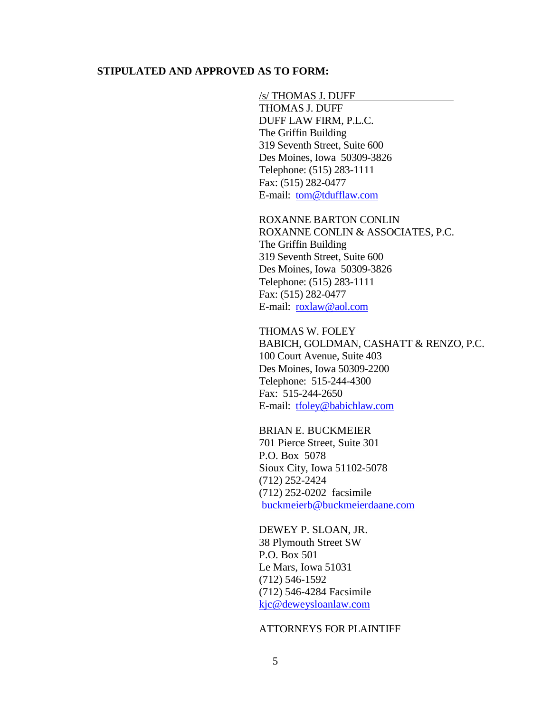### **STIPULATED AND APPROVED AS TO FORM:**

#### /s/ THOMAS J. DUFF

THOMAS J. DUFF DUFF LAW FIRM, P.L.C. The Griffin Building 319 Seventh Street, Suite 600 Des Moines, Iowa 50309-3826 Telephone: (515) 283-1111 Fax: (515) 282-0477 E-mail: [tom@tdufflaw.com](mailto:tom@tdufflaw.com)

 ROXANNE BARTON CONLIN ROXANNE CONLIN & ASSOCIATES, P.C. The Griffin Building 319 Seventh Street, Suite 600 Des Moines, Iowa 50309-3826 Telephone: (515) 283-1111 Fax: (515) 282-0477 E-mail: [roxlaw@aol.com](mailto:roxlaw@aol.com)

 THOMAS W. FOLEY BABICH, GOLDMAN, CASHATT & RENZO, P.C. 100 Court Avenue, Suite 403 Des Moines, Iowa 50309-2200 Telephone: 515-244-4300 Fax: 515-244-2650 E-mail: [tfoley@babichlaw.com](mailto:tfoley@babichlaw.com) 

# BRIAN E. BUCKMEIER

 701 Pierce Street, Suite 301 P.O. Box 5078 Sioux City, Iowa 51102-5078 (712) 252-2424 (712) 252-0202 facsimile [buckmeierb@buckmeierdaane.com](mailto:buckmeierb@buckmeierdaane.com)

 DEWEY P. SLOAN, JR. 38 Plymouth Street SW P.O. Box 501 Le Mars, Iowa 51031 (712) 546-1592 (712) 546-4284 Facsimile [kjc@deweysloanlaw.com](mailto:kjc@deweysloanlaw.com)

### ATTORNEYS FOR PLAINTIFF